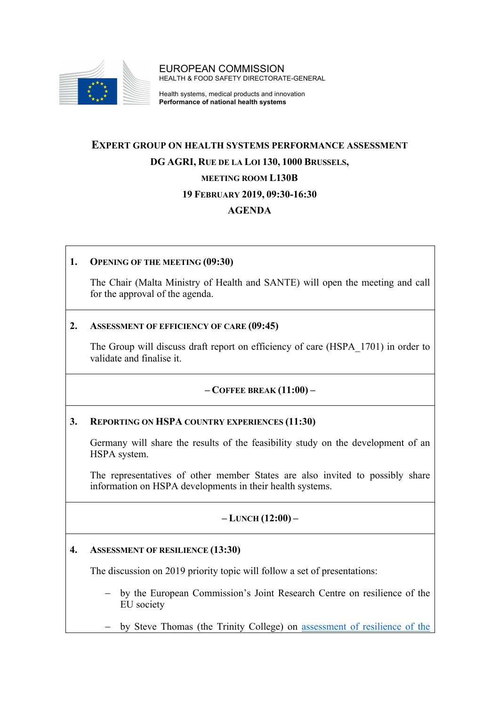

EUROPEAN COMMISSION HEALTH & FOOD SAFETY DIRECTORATE-GENERAL

Health systems, medical products and innovation **Performance of national health systems**

# **EXPERT GROUP ON HEALTH SYSTEMS PERFORMANCE ASSESSMENT DG AGRI, RUE DE LA LOI 130, 1000 BRUSSELS, MEETING ROOM L130B 19 FEBRUARY 2019, 09:30-16:30 AGENDA**

### **1. OPENING OF THE MEETING (09:30)**

The Chair (Malta Ministry of Health and SANTE) will open the meeting and call for the approval of the agenda.

#### **2. ASSESSMENT OF EFFICIENCY OF CARE (09:45)**

The Group will discuss draft report on efficiency of care (HSPA\_1701) in order to validate and finalise it.

#### **– COFFEE BREAK (11:00) –**

#### **3. REPORTING ON HSPA COUNTRY EXPERIENCES (11:30)**

Germany will share the results of the feasibility study on the development of an HSPA system.

The representatives of other member States are also invited to possibly share information on HSPA developments in their health systems.

#### **– LUNCH (12:00) –**

#### **4. ASSESSMENT OF RESILIENCE (13:30)**

The discussion on 2019 priority topic will follow a set of presentations:

- by the European Commission's Joint Research Centre on resilience of the EU society
- by Steve Thomas (the Trinity College) on assessment of resilience of the